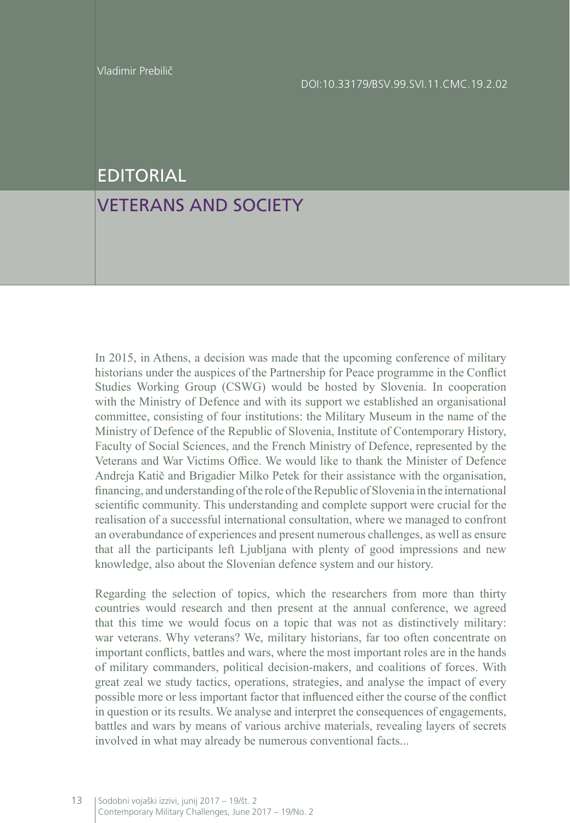## EDITORIAL

## VETERANS AND SOCIETY

In 2015, in Athens, a decision was made that the upcoming conference of military historians under the auspices of the Partnership for Peace programme in the Conflict Studies Working Group (CSWG) would be hosted by Slovenia. In cooperation with the Ministry of Defence and with its support we established an organisational committee, consisting of four institutions: the Military Museum in the name of the Ministry of Defence of the Republic of Slovenia, Institute of Contemporary History, Faculty of Social Sciences, and the French Ministry of Defence, represented by the Veterans and War Victims Office. We would like to thank the Minister of Defence Andreja Katič and Brigadier Milko Petek for their assistance with the organisation, financing, and understanding of the role of the Republic of Slovenia in the international scientific community. This understanding and complete support were crucial for the realisation of a successful international consultation, where we managed to confront an overabundance of experiences and present numerous challenges, as well as ensure that all the participants left Ljubljana with plenty of good impressions and new knowledge, also about the Slovenian defence system and our history.

Regarding the selection of topics, which the researchers from more than thirty countries would research and then present at the annual conference, we agreed that this time we would focus on a topic that was not as distinctively military: war veterans. Why veterans? We, military historians, far too often concentrate on important conflicts, battles and wars, where the most important roles are in the hands of military commanders, political decision-makers, and coalitions of forces. With great zeal we study tactics, operations, strategies, and analyse the impact of every possible more or less important factor that influenced either the course of the conflict in question or its results. We analyse and interpret the consequences of engagements, battles and wars by means of various archive materials, revealing layers of secrets involved in what may already be numerous conventional facts...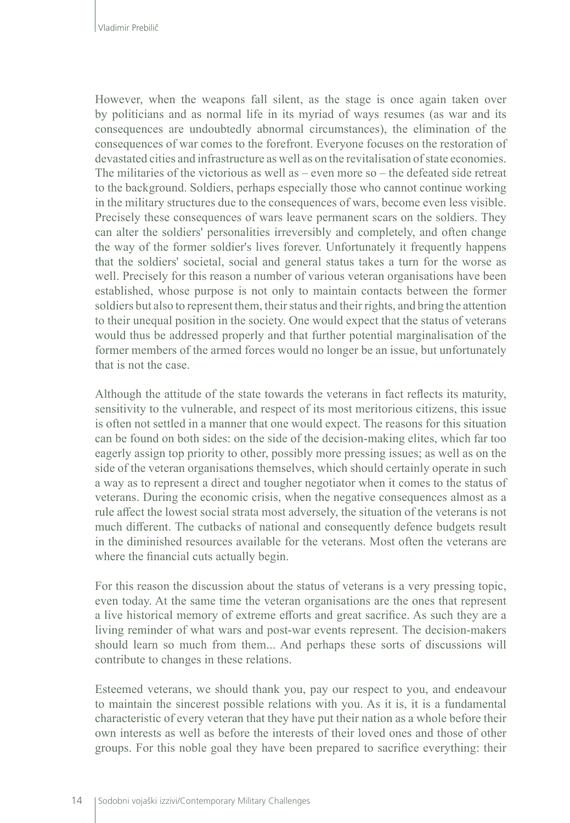However, when the weapons fall silent, as the stage is once again taken over by politicians and as normal life in its myriad of ways resumes (as war and its consequences are undoubtedly abnormal circumstances), the elimination of the consequences of war comes to the forefront. Everyone focuses on the restoration of devastated cities and infrastructure as well as on the revitalisation of state economies. The militaries of the victorious as well as  $-$  even more so  $-$  the defeated side retreat to the background. Soldiers, perhaps especially those who cannot continue working in the military structures due to the consequences of wars, become even less visible. Precisely these consequences of wars leave permanent scars on the soldiers. They can alter the soldiers' personalities irreversibly and completely, and often change the way of the former soldier's lives forever. Unfortunately it frequently happens that the soldiers' societal, social and general status takes a turn for the worse as well. Precisely for this reason a number of various veteran organisations have been established, whose purpose is not only to maintain contacts between the former soldiers but also to represent them, their status and their rights, and bring the attention to their unequal position in the society. One would expect that the status of veterans would thus be addressed properly and that further potential marginalisation of the former members of the armed forces would no longer be an issue, but unfortunately that is not the case.

Although the attitude of the state towards the veterans in fact reflects its maturity, sensitivity to the vulnerable, and respect of its most meritorious citizens, this issue is often not settled in a manner that one would expect. The reasons for this situation can be found on both sides: on the side of the decision-making elites, which far too eagerly assign top priority to other, possibly more pressing issues; as well as on the side of the veteran organisations themselves, which should certainly operate in such a way as to represent a direct and tougher negotiator when it comes to the status of veterans. During the economic crisis, when the negative consequences almost as a rule affect the lowest social strata most adversely, the situation of the veterans is not much different. The cutbacks of national and consequently defence budgets result in the diminished resources available for the veterans. Most often the veterans are where the financial cuts actually begin.

For this reason the discussion about the status of veterans is a very pressing topic, even today. At the same time the veteran organisations are the ones that represent a live historical memory of extreme efforts and great sacrifice. As such they are a living reminder of what wars and post-war events represent. The decision-makers should learn so much from them... And perhaps these sorts of discussions will contribute to changes in these relations.

Esteemed veterans, we should thank you, pay our respect to you, and endeavour to maintain the sincerest possible relations with you. As it is, it is a fundamental characteristic of every veteran that they have put their nation as a whole before their own interests as well as before the interests of their loved ones and those of other groups. For this noble goal they have been prepared to sacrifice everything: their